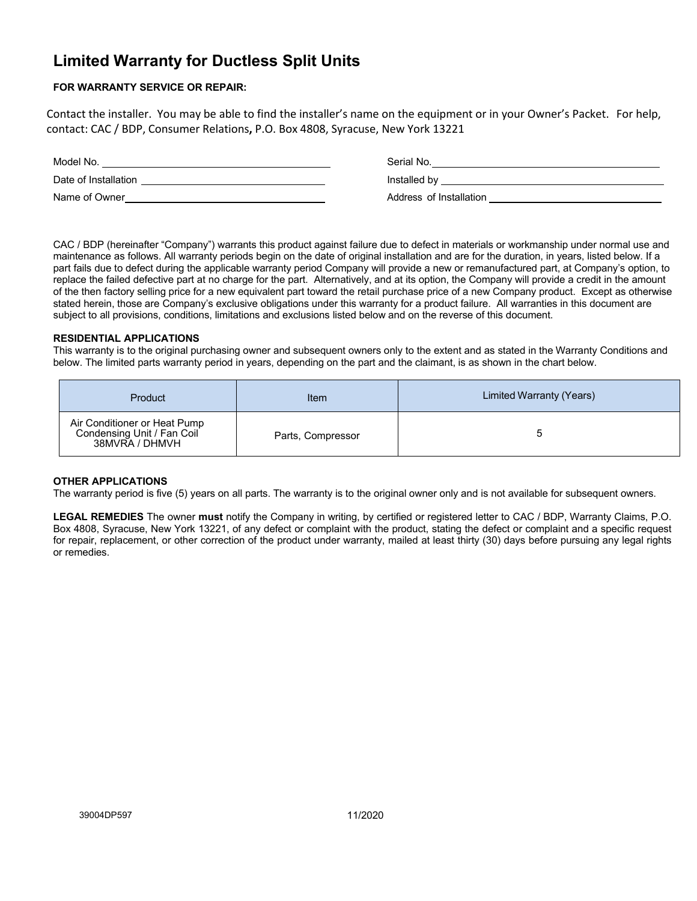# **Limited Warranty for Ductless Split Units**

## **FOR WARRANTY SERVICE OR REPAIR:**

Contact the installer. You may be able to find the installer's name on the equipment or in your Owner's Packet. For help, contact: CAC / BDP, Consumer Relations**,** P.O. Box 4808, Syracuse, New York 13221

| Model No.            | Serial No.              |
|----------------------|-------------------------|
| Date of Installation | Installed by            |
| Name of Owner        | Address of Installation |

CAC / BDP (hereinafter "Company") warrants this product against failure due to defect in materials or workmanship under normal use and maintenance as follows. All warranty periods begin on the date of original installation and are for the duration, in years, listed below. If a part fails due to defect during the applicable warranty period Company will provide a new or remanufactured part, at Company's option, to replace the failed defective part at no charge for the part. Alternatively, and at its option, the Company will provide a credit in the amount of the then factory selling price for a new equivalent part toward the retail purchase price of a new Company product. Except as otherwise stated herein, those are Company's exclusive obligations under this warranty for a product failure. All warranties in this document are subject to all provisions, conditions, limitations and exclusions listed below and on the reverse of this document.

## **RESIDENTIAL APPLICATIONS**

This warranty is to the original purchasing owner and subsequent owners only to the extent and as stated in the Warranty Conditions and below. The limited parts warranty period in years, depending on the part and the claimant, is as shown in the chart below.

| Product                                                                      | Item              | Limited Warranty (Years) |
|------------------------------------------------------------------------------|-------------------|--------------------------|
| Air Conditioner or Heat Pump<br>Condensing Unit / Fan Coil<br>38MVRA / DHMVH | Parts, Compressor |                          |

## **OTHER APPLICATIONS**

The warranty period is five (5) years on all parts. The warranty is to the original owner only and is not available for subsequent owners.

**LEGAL REMEDIES** The owner **must** notify the Company in writing, by certified or registered letter to CAC / BDP, Warranty Claims, P.O. Box 4808, Syracuse, New York 13221, of any defect or complaint with the product, stating the defect or complaint and a specific request for repair, replacement, or other correction of the product under warranty, mailed at least thirty (30) days before pursuing any legal rights or remedies.